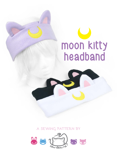**a sewing pattern by**

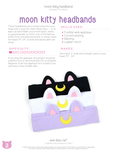These headbands are a classic piece for your head with a twist for Sailor Moon fans -- or at least cat fans! Make yours from black, white, or gray/lavender to mimic one of the famous kitties from this beloved anime. It comes sized for heads 19"-24", so kids and adults alike can enjoy.

#### **difficulty:**  <u> 1000000000</u>

If you skip the applique, this project would be a perfect first or second project for a complete beginner. Even the applique isn't so bad if you use heavy-duty fusible web.

## **moon kitty headbands**

## **skills used:**

- • Fusible web applique
- • Curved sewing
- • Basting
- • Ladder stitch

## **makes:**

One band, 3" wide and a length sized to your head: 19" - 24"



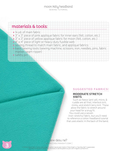## **materials & tools:**

- • ¼ yd. of main fabric
- • 3" x 3" piece of pink applique fabric for inner ears (felt, cotton, etc.)
- $\bullet$  3"  $\times$  3" piece of yellow applique fabric for moon (felt, cotton, etc.)
- $\bullet$  4" x 4" piece of light or heavy duty fusible web
- sewing thread to match main fabric, and applique fabrics
- basic sewing tools (sewing machine, scissors, iron, needles, pins, fabric marker, seam ripper)
- **•** safety pin

**3**

## **suggested fabrics:**

### MODERATE STRETCH **KNITS**

Such as fleece (anti-pill, micro, & cuddle are all fine), interlock knit, minky, and stretch terry knit. These allow the fabric to stretch around your head for a snug fit.

You could use a woven (non-stretchy) fabric, but you'll need to reference a cotton headband tutorial that uses elastic in the back of the band.

sew desu ne? | www.cholyknight.com |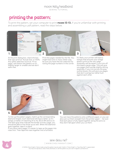## **printing the pattern:**

To print the pattern, set your computer to print **PAGES 12-13.** If you're unfamiliar with printing and assembling a .pdf pattern, read the steps below.



At the print dialog box, check the box that says print at "Actual Size" or 100%. Any other selection (such as "Fit to page") will distort the pattern so it's slightly larger or smaller and we don't want that.

Print the pages needed for the file. You might have one or more. Either way, be sure you have the full collection by noting the page numbers in the corner. It's likely your printer will have a margin that ensures your image doesn't print to the very edge. Assembly will be easier if you trim off this blank margin edge. This will give you pages that overlap slightly during assembly. If you trim across the gray outline boxes, this will give you pages that don't overlap but rather butt against each other.



To line up the pattern pages, match up the corresponding diamond shapes. Each diamond will have a letter, so it's simply a matter of matching A1 to A2, B3 to B4 and so on. The faint gray lines indicate the border of every page, you should be able to line those up as well. When the diamond goes together, tape it in place.

If you have many pages, it's easier to tape up the pages into rows first. Then tape the rows together into a full block.

You can trace the patterns onto a different paper, or you can also just cut them straight from the printer paper -- be sure that each piece is fully taped together along the joins so they don't fall apart when you cut them.



#### sew desu ne? | www.cholyknight.com |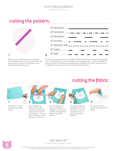## **cutting the pattern:**



| 25" teen/adult     |  |  |  |
|--------------------|--|--|--|
| 24" teen/adult     |  |  |  |
| 23" teen/adult     |  |  |  |
| 22" pre-teen       |  |  |  |
| 21" tween/pre-teen |  |  |  |
| 20" tween          |  |  |  |
| 19" child          |  |  |  |

Measure your head where you plan for the headband to lie. In most cases this will be around the base of the head to your hairline and back around.

Find your measurement on the paper pattern with the corresponding dotted line. Cut along the line that matches your measurement. If you're making for someone else, listed here are general age guidelines for each measurement. It's different for everyone, but it's better than nothing.



Fold fabric in half, meeting selvedge edges.



**2**

Place pattern on fabric, and make sure the stretch line matches the stretch of the fabric. The nap line should go in the direction of the fur.

Pin the pattern in place, use pattern weights, or trace the outline of the pattern

with a washable

marker.



Using the paper as a template, cut out the fabric. Cut the required amount according to the pattern.



**cutting the fabric:**

For all fur fabrics, shake the excess fuzz away.



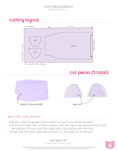## **cutting layout:**



## **cut pieces (5 total):**



## **before you begin:**

- Briefly read the project instructions so you know what to expect.
- If desired, mark the cut fabric pieces with the markings and symbols from the pattern. Or wait until the applicable step before transferring.
- Note that the seam allowance used is 1/2" throughout the project.

sew desu ne? | www.cholyknight.com |

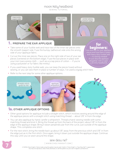sewing tutorial



- Take some of your fusible web and trace two of the inner ear pieces onto the smooth (paper) side. Fuse the bumpy (adhesive) side onto the wrong side of your applique fabric.
- Cut out the inner ear pieces. Place one on the right side of two of your ear pieces (centered on the bottom edge). Fuse the eye pieces in place with your iron (use a press cloth -- such as a scrap piece of cotton -- if you're using a polyester or fur fabric like minky).
- wool felt for your applique pieces and fuse them in place with heavy duty fusible web
- Or just skip the applique altogether. Still a super cute kitty headband!
- If you used heavy duty fusible web, you can keep the pieces fused without sewing, or you can sew them in place a number of ways. I've used a zigzag stitch here.
- Refer to the next step for some other applique options.



## 1a. **other applique options**

- Other good options for applique include a straight stitch, which involves sewing around the edge of the applique pieces with a straight stitch using matching thread -- about 1/8" in from the edge.
- You can also applique by hand; I prefer a whipstitch. Thread a hand-sewing needle with some matching thread and knot it. Bring the thread up from the back of the project; about 1/8" in from the edge of the applique shape. Bring it down perpendicular from the curve, just outside of the applique shape. This completes one stitch.
- For the next stitch, bring the needle back up about 1/8" away from the previous stitch and 1/8" in from the edge just as in the first stitch. Once again, bring it down just outside the applique shape. Continue this way until you've sewn around the shape.



sew desu ne? | www.cholyknight.com |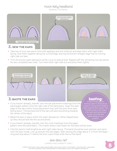sewing tutorial



- Take two of your ear pieces (one with applique and one without) and align them with right sides facing. Sew them together along the curved edge, leaving the bottom straight edge free for turning right side out later.
- Trim the excess seam allowance at the curve to reduce bulk. Repeat with the remaining two ear pieces for two completed ears total. Turn them both right side out and press them lightly.



- If you haven't already, transfer over the circle markings from the paper pattern onto the band fabric. This marks where main seam for the band will be sewn.
- Fold the band in half lengthwise with right sides facing. The band should be even skinnier and sandwich the ears inside. Line up and pin the raw edges. Start sewing this edge about 3" in from the beginning and stop about 3" before the end. Leave these ends free on the band.



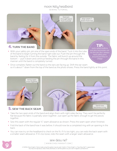sewing tutorial



so it's about 1" down from the top of the band as the photo shows. Press the band lightly at this point.



- Take the two open ends of the band and align them with right sides facing. They won't lie perfectly flat because the fabric is partially sewn together. Just open up the fabric enough to get the pieces together.
- Sew this seam with the regular 1/2" seam allowance as shown. Press the seam open when finished.
- Fold the back of the band how it was before. It should now be a completed ring with an opening in the back.
- You can now try on the headband to check on the fit. If it's too tight, you can redo the back seam with a smaller seam allowance. If it's too loose, redo the seam with a larger seam allowance.

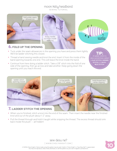





## 6. **fold up the opening**

- Tuck under the seam allowances in the opening you have and press them lightly. We'll be ladder stitching this closed.
- Thread a hand sewing needle and knot the end. Insert it from the inside of the band opening towards one end. This will leave the knot inside the band.
- Continue from here doing a ladder stitch. Take a 1/8" stitch into the fold of one side of the opening, then go across and take another. Keep going down the opening until you reach the end.

**TIP:** sometimes a **slip stitch**, **hidden stitch**, or **invis-IBLE STITCH** 



- When you're finished, stitch a knot into the end of the seam. Then insert the needle near the finished knot and out of the plush about 1-2" away.
- Pull the thread through and hold it taught while snipping the thread. The excess thread should sink back inside the plush -- all hidden!



sew desu ne? | www.cholyknight.com |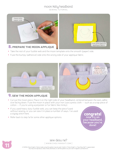sewing tutorial





- Take the rest of your fusible web and the moon template onto the smooth (paper) side.
- Fuse the bumpy (adhesive) side onto the wrong side of your applique fabric.



## 9. **sew the moon applique**

- Cut out the moon piece. Place it on the right side of your headband, centered between the ears, adhesive facing down. Fuse the moon in place with your iron (use a press cloth -- such as a scrap piece of cotton -- if you're using a polyester or fur fabric like minky).
- If you used heavy duty fusible web, you can keep the piece fused without sewing, or you can sew it in place a number of ways. I've used a zigzag stitch here.
- Refer back to step 1a for some other applique options.



fuse onto back of applique fabric



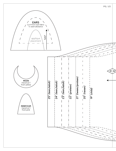